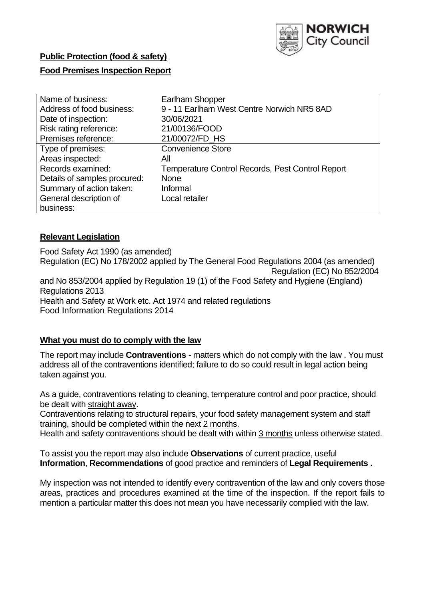

# **Public Protection (food & safety)**

#### **Food Premises Inspection Report**

| Name of business:            | Earlham Shopper                                         |
|------------------------------|---------------------------------------------------------|
| Address of food business:    | 9 - 11 Earlham West Centre Norwich NR5 8AD              |
| Date of inspection:          | 30/06/2021                                              |
| Risk rating reference:       | 21/00136/FOOD                                           |
| Premises reference:          | 21/00072/FD_HS                                          |
| Type of premises:            | <b>Convenience Store</b>                                |
| Areas inspected:             | Αll                                                     |
| Records examined:            | <b>Temperature Control Records, Pest Control Report</b> |
| Details of samples procured: | <b>None</b>                                             |
| Summary of action taken:     | Informal                                                |
| General description of       | Local retailer                                          |
| business:                    |                                                         |

#### **Relevant Legislation**

 Food Safety Act 1990 (as amended) Regulation (EC) No 178/2002 applied by The General Food Regulations 2004 (as amended) Regulation (EC) No 852/2004 and No 853/2004 applied by Regulation 19 (1) of the Food Safety and Hygiene (England) Health and Safety at Work etc. Act 1974 and related regulations Regulations 2013 Food Information Regulations 2014

## **What you must do to comply with the law**

 The report may include **Contraventions** - matters which do not comply with the law . You must address all of the contraventions identified; failure to do so could result in legal action being taken against you.

 As a guide, contraventions relating to cleaning, temperature control and poor practice, should be dealt with straight away.

 Contraventions relating to structural repairs, your food safety management system and staff training, should be completed within the next 2 months.

Health and safety contraventions should be dealt with within 3 months unless otherwise stated.

 To assist you the report may also include **Observations** of current practice, useful **Information**, **Recommendations** of good practice and reminders of **Legal Requirements .** 

 My inspection was not intended to identify every contravention of the law and only covers those areas, practices and procedures examined at the time of the inspection. If the report fails to mention a particular matter this does not mean you have necessarily complied with the law.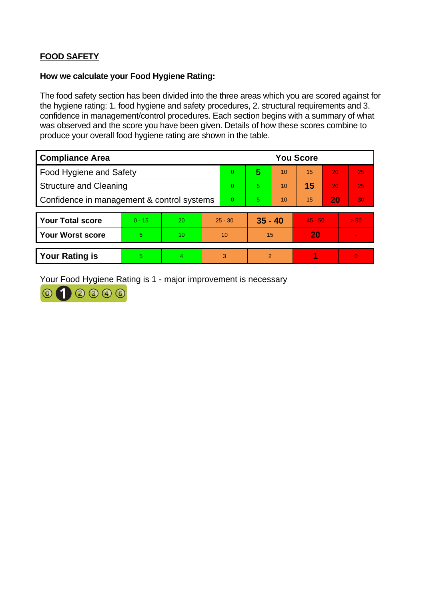# **FOOD SAFETY**

#### **How we calculate your Food Hygiene Rating:**

 The food safety section has been divided into the three areas which you are scored against for the hygiene rating: 1. food hygiene and safety procedures, 2. structural requirements and 3. confidence in management/control procedures. Each section begins with a summary of what was observed and the score you have been given. Details of how these scores combine to produce your overall food hygiene rating are shown in the table.

| <b>Compliance Area</b>                     |          |                  |    | <b>You Score</b> |               |    |           |    |      |  |
|--------------------------------------------|----------|------------------|----|------------------|---------------|----|-----------|----|------|--|
| Food Hygiene and Safety                    |          |                  |    | 0                | 5             | 10 | 15        | 20 | 25   |  |
| <b>Structure and Cleaning</b>              |          |                  |    | $\Omega$         | 5.            | 10 | 15        | 20 | 25   |  |
| Confidence in management & control systems |          |                  |    | $\Omega$         | 5             | 10 | 15        | 20 | 30   |  |
|                                            |          |                  |    |                  |               |    |           |    |      |  |
| <b>Your Total score</b>                    | $0 - 15$ | 20               |    | $25 - 30$        | $35 - 40$     |    | $45 - 50$ |    | > 50 |  |
| <b>Your Worst score</b>                    | 5        | 10 <sup>10</sup> | 10 |                  | 15            |    | 20        |    |      |  |
|                                            |          |                  |    |                  |               |    |           |    |      |  |
| <b>Your Rating is</b>                      | 5        | 4                | 3  |                  | $\mathcal{P}$ |    |           |    | 0    |  |

Your Food Hygiene Rating is 1 - major improvement is necessary

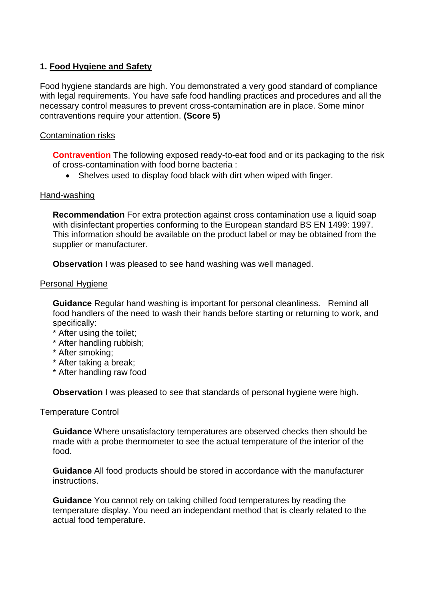# **1. Food Hygiene and Safety**

 with legal requirements. You have safe food handling practices and procedures and all the Food hygiene standards are high. You demonstrated a very good standard of compliance necessary control measures to prevent cross-contamination are in place. Some minor contraventions require your attention. **(Score 5)** 

## Contamination risks

**Contravention** The following exposed ready-to-eat food and or its packaging to the risk of cross-contamination with food borne bacteria :

• Shelves used to display food black with dirt when wiped with finger.

## Hand-washing

 This information should be available on the product label or may be obtained from the **Recommendation** For extra protection against cross contamination use a liquid soap with disinfectant properties conforming to the European standard BS EN 1499: 1997. supplier or manufacturer.

**Observation** I was pleased to see hand washing was well managed.

#### Personal Hygiene

 **Guidance** Regular hand washing is important for personal cleanliness. Remind all food handlers of the need to wash their hands before starting or returning to work, and specifically:

- \* After using the toilet;
- \* After handling rubbish;
- \* After smoking;
- \* After taking a break;
- \* After handling raw food

**Observation** I was pleased to see that standards of personal hygiene were high.

## Temperature Control

 made with a probe thermometer to see the actual temperature of the interior of the **Guidance** Where unsatisfactory temperatures are observed checks then should be food.

**Guidance** All food products should be stored in accordance with the manufacturer instructions.

 temperature display. You need an independant method that is clearly related to the **Guidance** You cannot rely on taking chilled food temperatures by reading the actual food temperature.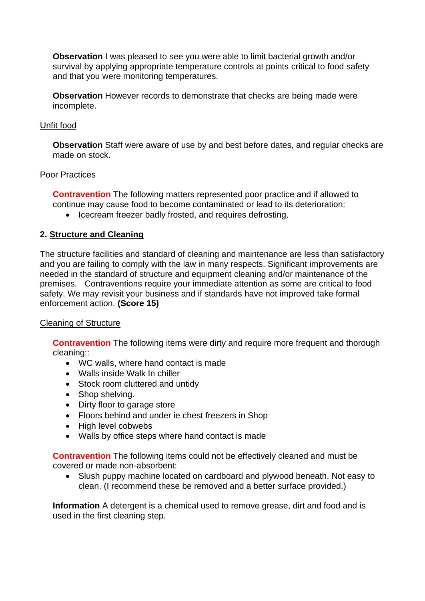**Observation** I was pleased to see you were able to limit bacterial growth and/or survival by applying appropriate temperature controls at points critical to food safety and that you were monitoring temperatures.

**Observation** However records to demonstrate that checks are being made were incomplete.

#### Unfit food

 **Observation** Staff were aware of use by and best before dates, and regular checks are made on stock.

#### Poor Practices

 **Contravention** The following matters represented poor practice and if allowed to continue may cause food to become contaminated or lead to its deterioration:

• Icecream freezer badly frosted, and requires defrosting.

# **2. Structure and Cleaning**

The structure facilities and standard of cleaning and maintenance are less than satisfactory and you are failing to comply with the law in many respects. Significant improvements are needed in the standard of structure and equipment cleaning and/or maintenance of the premises. Contraventions require your immediate attention as some are critical to food safety. We may revisit your business and if standards have not improved take formal enforcement action. **(Score 15)** 

## Cleaning of Structure

**Contravention** The following items were dirty and require more frequent and thorough cleaning::

- WC walls, where hand contact is made
- Walls inside Walk In chiller
- Stock room cluttered and untidy
- Shop shelving.
- Dirty floor to garage store
- Floors behind and under ie chest freezers in Shop
- High level cobwebs
- Walls by office steps where hand contact is made

 **Contravention** The following items could not be effectively cleaned and must be covered or made non-absorbent:

 clean. (I recommend these be removed and a better surface provided.) • Slush puppy machine located on cardboard and plywood beneath. Not easy to

 **Information** A detergent is a chemical used to remove grease, dirt and food and is used in the first cleaning step.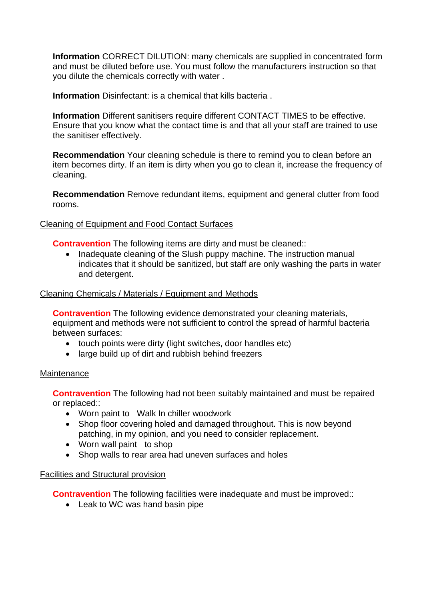**Information** CORRECT DILUTION: many chemicals are supplied in concentrated form and must be diluted before use. You must follow the manufacturers instruction so that you dilute the chemicals correctly with water .

**Information** Disinfectant: is a chemical that kills bacteria .

 Ensure that you know what the contact time is and that all your staff are trained to use **Information** Different sanitisers require different CONTACT TIMES to be effective. the sanitiser effectively.

**Recommendation** Your cleaning schedule is there to remind you to clean before an item becomes dirty. If an item is dirty when you go to clean it, increase the frequency of cleaning.

 **Recommendation** Remove redundant items, equipment and general clutter from food rooms.

# Cleaning of Equipment and Food Contact Surfaces

**Contravention** The following items are dirty and must be cleaned::

 • Inadequate cleaning of the Slush puppy machine. The instruction manual indicates that it should be sanitized, but staff are only washing the parts in water and detergent.

## Cleaning Chemicals / Materials / Equipment and Methods

**Contravention** The following evidence demonstrated your cleaning materials, equipment and methods were not sufficient to control the spread of harmful bacteria between surfaces:

- touch points were dirty (light switches, door handles etc)
- large build up of dirt and rubbish behind freezers

## **Maintenance**

**Contravention** The following had not been suitably maintained and must be repaired or replaced::

- Worn paint to Walk In chiller woodwork
- Shop floor covering holed and damaged throughout. This is now beyond patching, in my opinion, and you need to consider replacement.
- Worn wall paint to shop
- Shop walls to rear area had uneven surfaces and holes

## Facilities and Structural provision

**Contravention** The following facilities were inadequate and must be improved::

• Leak to WC was hand basin pipe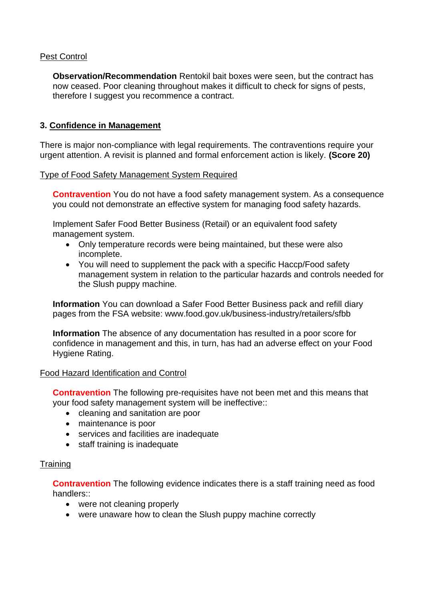# Pest Control

**Observation/Recommendation** Rentokil bait boxes were seen, but the contract has now ceased. Poor cleaning throughout makes it difficult to check for signs of pests, therefore I suggest you recommence a contract.

# **3. Confidence in Management**

There is major non-compliance with legal requirements. The contraventions require your urgent attention. A revisit is planned and formal enforcement action is likely. **(Score 20)** 

## Type of Food Safety Management System Required

**Contravention** You do not have a food safety management system. As a consequence you could not demonstrate an effective system for managing food safety hazards.

Implement Safer Food Better Business (Retail) or an equivalent food safety management system.

- Only temperature records were being maintained, but these were also incomplete.
- • You will need to supplement the pack with a specific Haccp/Food safety management system in relation to the particular hazards and controls needed for the Slush puppy machine.

**Information** You can download a Safer Food Better Business pack and refill diary pages from the FSA website:<www.food.gov.uk/business-industry/retailers/sfbb>

 confidence in management and this, in turn, has had an adverse effect on your Food **Information** The absence of any documentation has resulted in a poor score for Hygiene Rating.

## Food Hazard Identification and Control

**Contravention** The following pre-requisites have not been met and this means that your food safety management system will be ineffective::

- cleaning and sanitation are poor
- maintenance is poor
- services and facilities are inadequate
- staff training is inadequate

## **Training**

 **Contravention** The following evidence indicates there is a staff training need as food handlers::

- were not cleaning properly
- were unaware how to clean the Slush puppy machine correctly